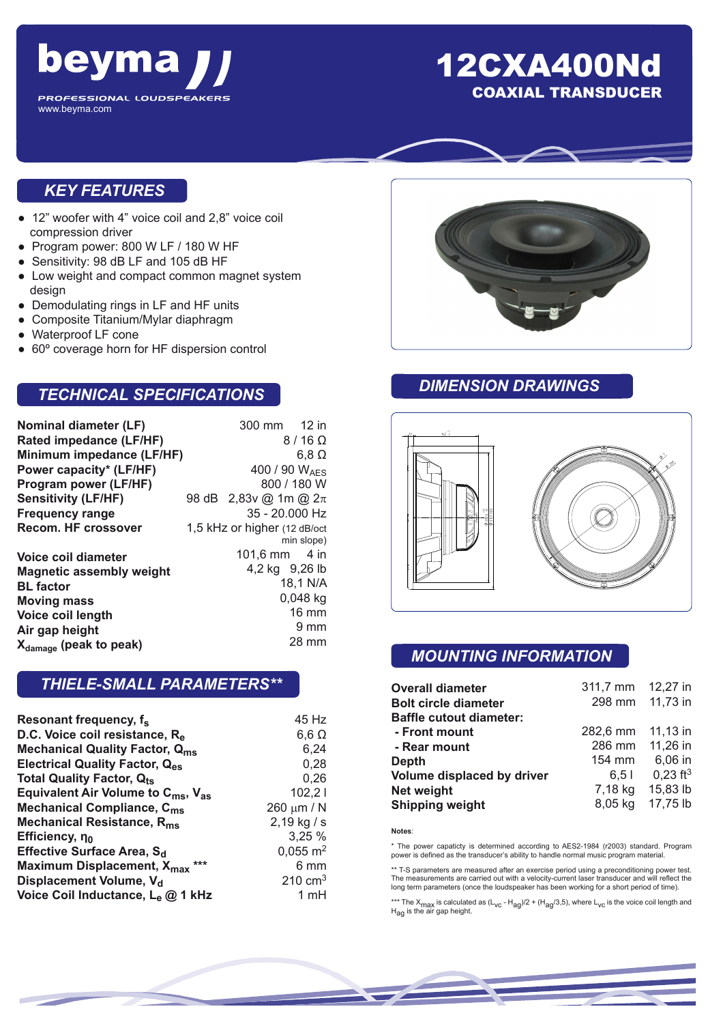

## 12CXA400Nd COAXIAL TRANSDUCER

#### *KEY FEATURES*

- 12" woofer with 4" voice coil and 2,8" voice coil compression driver
- Program power: 800 W LF / 180 W HF
- Sensitivity: 98 dB LF and 105 dB HF
- Low weight and compact common magnet system design
- Demodulating rings in LF and HF units
- Composite Titanium/Mylar diaphragm
- Waterproof LF cone
- 60° coverage horn for HF dispersion control

## *TECHNICAL SPECIFICATIONS*

| Nominal diameter (LF)              |                               | 300 mm 12 in              |                |
|------------------------------------|-------------------------------|---------------------------|----------------|
| Rated impedance (LF/HF)            |                               |                           | $8/16 \Omega$  |
| Minimum impedance (LF/HF)          |                               |                           | $6,8$ $\Omega$ |
| Power capacity* (LF/HF)            | 400 / 90 WAFS                 |                           |                |
| Program power (LF/HF)              |                               | 800 / 180 W               |                |
| <b>Sensitivity (LF/HF)</b>         |                               | 98 dB 2,83v @ 1m @ $2\pi$ |                |
| <b>Frequency range</b>             |                               | 35 - 20.000 Hz            |                |
| <b>Recom. HF crossover</b>         | 1,5 kHz or higher (12 dB/oct) |                           |                |
|                                    |                               |                           | min slope)     |
| Voice coil diameter                |                               | 101,6 mm $-4$ in          |                |
| <b>Magnetic assembly weight</b>    | 4,2 kg 9,26 lb                |                           |                |
| <b>BL</b> factor                   | 18,1 N/A                      |                           |                |
| <b>Moving mass</b>                 | $0,048$ kg                    |                           |                |
| Voice coil length                  |                               |                           | 16 mm          |
| Air gap height                     |                               |                           | 9 mm           |
| X <sub>damage</sub> (peak to peak) |                               |                           | 28 mm          |

#### *THIELE-SMALL PARAMETERS\*\**

| Resonant frequency, f <sub>s</sub>                         | 45 Hz                 |
|------------------------------------------------------------|-----------------------|
| D.C. Voice coil resistance, R <sub>e</sub>                 | $6,6 \Omega$          |
| <b>Mechanical Quality Factor, Qms</b>                      | 6,24                  |
| <b>Electrical Quality Factor, Q<sub>es</sub></b>           | 0.28                  |
| <b>Total Quality Factor, Qts</b>                           | 0.26                  |
| Equivalent Air Volume to $C_{\text{ms}}$ , $V_{\text{as}}$ | 102,21                |
| Mechanical Compliance, C <sub>ms</sub>                     | 260 $\mu$ m / N       |
| Mechanical Resistance, R <sub>ms</sub>                     | $2,19$ kg / s         |
| Efficiency, no                                             | 3,25%                 |
| Effective Surface Area, S <sub>d</sub>                     | $0,055 \; \text{m}^2$ |
| Maximum Displacement, X <sub>max</sub> ***                 | 6 mm                  |
| Displacement Volume, V <sub>d</sub>                        | $210 \text{ cm}^3$    |
| Voice Coil Inductance, Le @ 1 kHz                          | 1 mH                  |



## *DIMENSION DRAWINGS*



## *MOUNTING INFORMATION*

| <b>Overall diameter</b>        | 311,7 mm | 12,27 in               |
|--------------------------------|----------|------------------------|
| <b>Bolt circle diameter</b>    | 298 mm   | 11,73 in               |
| <b>Baffle cutout diameter:</b> |          |                        |
| - Front mount                  | 282,6 mm | 11,13 in               |
| - Rear mount                   | 286 mm   | 11,26 in               |
| <b>Depth</b>                   | 154 mm   | 6,06 in                |
| Volume displaced by driver     | 6.51     | $0,23$ ft <sup>3</sup> |
| <b>Net weight</b>              | 7,18 kg  | 15,83 lb               |
| <b>Shipping weight</b>         | 8,05 kg  | 17,75 lb               |

**Notes**:

\* The power capaticty is determined according to AES2-1984 (r2003) standard. Program power is defined as the transducer's ability to handle normal music program material.

\*\* T-S parameters are measured after an exercise period using a preconditioning power test. The measurements are carried out with a velocity-current laser transducer and will reflect the long term parameters (once the loudspeaker has been working for a short period of time).

\*\*\* The X<sub>max</sub> is calculated as (L<sub>VC</sub> - H<sub>ag</sub>)/2 + (H<sub>ag</sub>/3,5), where L<sub>VC</sub> is the voice coil length and<br>H<sub>ag</sub> is the air gap height.